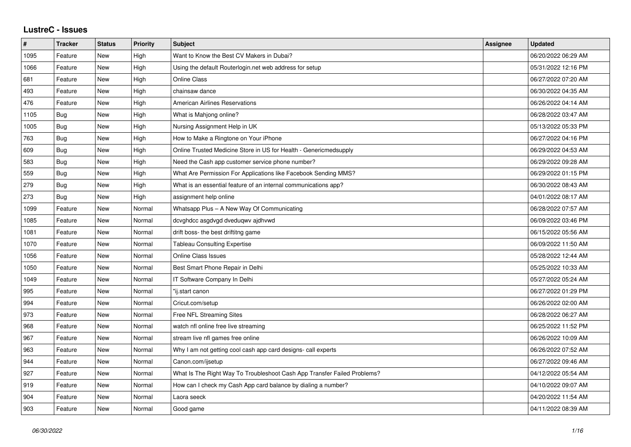## **LustreC - Issues**

| $\pmb{\#}$ | <b>Tracker</b> | <b>Status</b> | <b>Priority</b> | <b>Subject</b>                                                           | Assignee | <b>Updated</b>      |
|------------|----------------|---------------|-----------------|--------------------------------------------------------------------------|----------|---------------------|
| 1095       | Feature        | New           | High            | Want to Know the Best CV Makers in Dubai?                                |          | 06/20/2022 06:29 AM |
| 1066       | Feature        | New           | High            | Using the default Routerlogin.net web address for setup                  |          | 05/31/2022 12:16 PM |
| 681        | Feature        | New           | High            | <b>Online Class</b>                                                      |          | 06/27/2022 07:20 AM |
| 493        | Feature        | New           | High            | chainsaw dance                                                           |          | 06/30/2022 04:35 AM |
| 476        | Feature        | New           | High            | <b>American Airlines Reservations</b>                                    |          | 06/26/2022 04:14 AM |
| 1105       | Bug            | New           | High            | What is Mahjong online?                                                  |          | 06/28/2022 03:47 AM |
| 1005       | <b>Bug</b>     | New           | High            | Nursing Assignment Help in UK                                            |          | 05/13/2022 05:33 PM |
| 763        | Bug            | <b>New</b>    | High            | How to Make a Ringtone on Your iPhone                                    |          | 06/27/2022 04:16 PM |
| 609        | Bug            | New           | High            | Online Trusted Medicine Store in US for Health - Genericmedsupply        |          | 06/29/2022 04:53 AM |
| 583        | Bug            | <b>New</b>    | High            | Need the Cash app customer service phone number?                         |          | 06/29/2022 09:28 AM |
| 559        | <b>Bug</b>     | <b>New</b>    | High            | What Are Permission For Applications like Facebook Sending MMS?          |          | 06/29/2022 01:15 PM |
| 279        | Bug            | New           | High            | What is an essential feature of an internal communications app?          |          | 06/30/2022 08:43 AM |
| 273        | Bug            | <b>New</b>    | High            | assignment help online                                                   |          | 04/01/2022 08:17 AM |
| 1099       | Feature        | New           | Normal          | Whatsapp Plus - A New Way Of Communicating                               |          | 06/28/2022 07:57 AM |
| 1085       | Feature        | New           | Normal          | dcvghdcc asgdvgd dveduqwv ajdhvwd                                        |          | 06/09/2022 03:46 PM |
| 1081       | Feature        | New           | Normal          | drift boss- the best driftitng game                                      |          | 06/15/2022 05:56 AM |
| 1070       | Feature        | New           | Normal          | <b>Tableau Consulting Expertise</b>                                      |          | 06/09/2022 11:50 AM |
| 1056       | Feature        | New           | Normal          | Online Class Issues                                                      |          | 05/28/2022 12:44 AM |
| 1050       | Feature        | New           | Normal          | Best Smart Phone Repair in Delhi                                         |          | 05/25/2022 10:33 AM |
| 1049       | Feature        | New           | Normal          | IT Software Company In Delhi                                             |          | 05/27/2022 05:24 AM |
| 995        | Feature        | New           | Normal          | "ij.start canon                                                          |          | 06/27/2022 01:29 PM |
| 994        | Feature        | <b>New</b>    | Normal          | Cricut.com/setup                                                         |          | 06/26/2022 02:00 AM |
| 973        | Feature        | New           | Normal          | Free NFL Streaming Sites                                                 |          | 06/28/2022 06:27 AM |
| 968        | Feature        | New           | Normal          | watch nfl online free live streaming                                     |          | 06/25/2022 11:52 PM |
| 967        | Feature        | <b>New</b>    | Normal          | stream live nfl games free online                                        |          | 06/26/2022 10:09 AM |
| 963        | Feature        | New           | Normal          | Why I am not getting cool cash app card designs- call experts            |          | 06/26/2022 07:52 AM |
| 944        | Feature        | New           | Normal          | Canon.com/ijsetup                                                        |          | 06/27/2022 09:46 AM |
| 927        | Feature        | New           | Normal          | What Is The Right Way To Troubleshoot Cash App Transfer Failed Problems? |          | 04/12/2022 05:54 AM |
| 919        | Feature        | New           | Normal          | How can I check my Cash App card balance by dialing a number?            |          | 04/10/2022 09:07 AM |
| 904        | Feature        | New           | Normal          | Laora seeck                                                              |          | 04/20/2022 11:54 AM |
| 903        | Feature        | New           | Normal          | Good game                                                                |          | 04/11/2022 08:39 AM |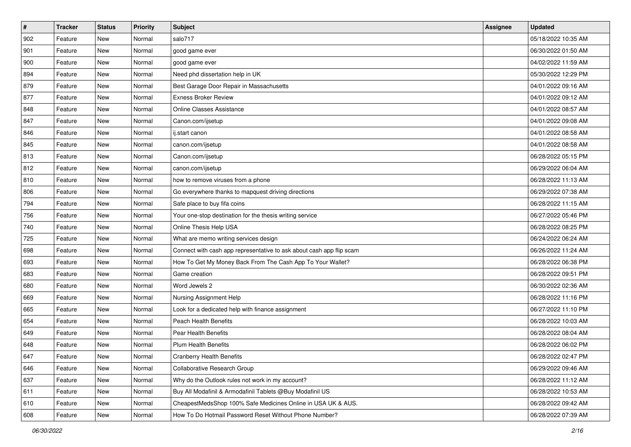| $\sharp$ | <b>Tracker</b> | <b>Status</b> | <b>Priority</b> | <b>Subject</b>                                                       | Assignee | <b>Updated</b>      |
|----------|----------------|---------------|-----------------|----------------------------------------------------------------------|----------|---------------------|
| 902      | Feature        | New           | Normal          | salo717                                                              |          | 05/18/2022 10:35 AM |
| 901      | Feature        | New           | Normal          | good game ever                                                       |          | 06/30/2022 01:50 AM |
| 900      | Feature        | New           | Normal          | good game ever                                                       |          | 04/02/2022 11:59 AM |
| 894      | Feature        | New           | Normal          | Need phd dissertation help in UK                                     |          | 05/30/2022 12:29 PM |
| 879      | Feature        | New           | Normal          | Best Garage Door Repair in Massachusetts                             |          | 04/01/2022 09:16 AM |
| 877      | Feature        | New           | Normal          | <b>Exness Broker Review</b>                                          |          | 04/01/2022 09:12 AM |
| 848      | Feature        | New           | Normal          | <b>Online Classes Assistance</b>                                     |          | 04/01/2022 08:57 AM |
| 847      | Feature        | New           | Normal          | Canon.com/ijsetup                                                    |          | 04/01/2022 09:08 AM |
| 846      | Feature        | New           | Normal          | ij.start canon                                                       |          | 04/01/2022 08:58 AM |
| 845      | Feature        | New           | Normal          | canon.com/ijsetup                                                    |          | 04/01/2022 08:58 AM |
| 813      | Feature        | New           | Normal          | Canon.com/ijsetup                                                    |          | 06/28/2022 05:15 PM |
| 812      | Feature        | New           | Normal          | canon.com/ijsetup                                                    |          | 06/29/2022 06:04 AM |
| 810      | Feature        | New           | Normal          | how to remove viruses from a phone                                   |          | 06/28/2022 11:13 AM |
| 806      | Feature        | New           | Normal          | Go everywhere thanks to mapquest driving directions                  |          | 06/29/2022 07:38 AM |
| 794      | Feature        | New           | Normal          | Safe place to buy fifa coins                                         |          | 06/28/2022 11:15 AM |
| 756      | Feature        | New           | Normal          | Your one-stop destination for the thesis writing service             |          | 06/27/2022 05:46 PM |
| 740      | Feature        | New           | Normal          | Online Thesis Help USA                                               |          | 06/28/2022 08:25 PM |
| 725      | Feature        | New           | Normal          | What are memo writing services design                                |          | 06/24/2022 06:24 AM |
| 698      | Feature        | New           | Normal          | Connect with cash app representative to ask about cash app flip scam |          | 06/26/2022 11:24 AM |
| 693      | Feature        | New           | Normal          | How To Get My Money Back From The Cash App To Your Wallet?           |          | 06/28/2022 06:38 PM |
| 683      | Feature        | New           | Normal          | Game creation                                                        |          | 06/28/2022 09:51 PM |
| 680      | Feature        | New           | Normal          | Word Jewels 2                                                        |          | 06/30/2022 02:36 AM |
| 669      | Feature        | New           | Normal          | Nursing Assignment Help                                              |          | 06/28/2022 11:16 PM |
| 665      | Feature        | New           | Normal          | Look for a dedicated help with finance assignment                    |          | 06/27/2022 11:10 PM |
| 654      | Feature        | New           | Normal          | Peach Health Benefits                                                |          | 06/28/2022 10:03 AM |
| 649      | Feature        | New           | Normal          | Pear Health Benefits                                                 |          | 06/28/2022 08:04 AM |
| 648      | Feature        | New           | Normal          | <b>Plum Health Benefits</b>                                          |          | 06/28/2022 06:02 PM |
| 647      | Feature        | New           | Normal          | <b>Cranberry Health Benefits</b>                                     |          | 06/28/2022 02:47 PM |
| 646      | Feature        | New           | Normal          | Collaborative Research Group                                         |          | 06/29/2022 09:46 AM |
| 637      | Feature        | New           | Normal          | Why do the Outlook rules not work in my account?                     |          | 06/28/2022 11:12 AM |
| 611      | Feature        | New           | Normal          | Buy All Modafinil & Armodafinil Tablets @Buy Modafinil US            |          | 06/28/2022 10:53 AM |
| 610      | Feature        | New           | Normal          | CheapestMedsShop 100% Safe Medicines Online in USA UK & AUS.         |          | 06/28/2022 09:42 AM |
| 608      | Feature        | New           | Normal          | How To Do Hotmail Password Reset Without Phone Number?               |          | 06/28/2022 07:39 AM |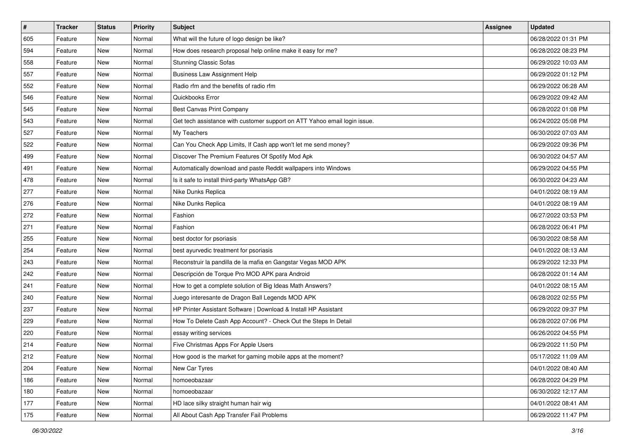| $\sharp$ | <b>Tracker</b> | <b>Status</b> | <b>Priority</b> | <b>Subject</b>                                                            | Assignee | <b>Updated</b>      |
|----------|----------------|---------------|-----------------|---------------------------------------------------------------------------|----------|---------------------|
| 605      | Feature        | New           | Normal          | What will the future of logo design be like?                              |          | 06/28/2022 01:31 PM |
| 594      | Feature        | New           | Normal          | How does research proposal help online make it easy for me?               |          | 06/28/2022 08:23 PM |
| 558      | Feature        | New           | Normal          | <b>Stunning Classic Sofas</b>                                             |          | 06/29/2022 10:03 AM |
| 557      | Feature        | New           | Normal          | <b>Business Law Assignment Help</b>                                       |          | 06/29/2022 01:12 PM |
| 552      | Feature        | New           | Normal          | Radio rfm and the benefits of radio rfm                                   |          | 06/29/2022 06:28 AM |
| 546      | Feature        | New           | Normal          | Quickbooks Error                                                          |          | 06/29/2022 09:42 AM |
| 545      | Feature        | New           | Normal          | Best Canvas Print Company                                                 |          | 06/28/2022 01:08 PM |
| 543      | Feature        | New           | Normal          | Get tech assistance with customer support on ATT Yahoo email login issue. |          | 06/24/2022 05:08 PM |
| 527      | Feature        | New           | Normal          | My Teachers                                                               |          | 06/30/2022 07:03 AM |
| 522      | Feature        | New           | Normal          | Can You Check App Limits, If Cash app won't let me send money?            |          | 06/29/2022 09:36 PM |
| 499      | Feature        | New           | Normal          | Discover The Premium Features Of Spotify Mod Apk                          |          | 06/30/2022 04:57 AM |
| 491      | Feature        | New           | Normal          | Automatically download and paste Reddit wallpapers into Windows           |          | 06/29/2022 04:55 PM |
| 478      | Feature        | New           | Normal          | Is it safe to install third-party WhatsApp GB?                            |          | 06/30/2022 04:23 AM |
| 277      | Feature        | New           | Normal          | Nike Dunks Replica                                                        |          | 04/01/2022 08:19 AM |
| 276      | Feature        | New           | Normal          | Nike Dunks Replica                                                        |          | 04/01/2022 08:19 AM |
| 272      | Feature        | New           | Normal          | Fashion                                                                   |          | 06/27/2022 03:53 PM |
| 271      | Feature        | New           | Normal          | Fashion                                                                   |          | 06/28/2022 06:41 PM |
| 255      | Feature        | New           | Normal          | best doctor for psoriasis                                                 |          | 06/30/2022 08:58 AM |
| 254      | Feature        | New           | Normal          | best ayurvedic treatment for psoriasis                                    |          | 04/01/2022 08:13 AM |
| 243      | Feature        | New           | Normal          | Reconstruir la pandilla de la mafia en Gangstar Vegas MOD APK             |          | 06/29/2022 12:33 PM |
| 242      | Feature        | New           | Normal          | Descripción de Torque Pro MOD APK para Android                            |          | 06/28/2022 01:14 AM |
| 241      | Feature        | New           | Normal          | How to get a complete solution of Big Ideas Math Answers?                 |          | 04/01/2022 08:15 AM |
| 240      | Feature        | New           | Normal          | Juego interesante de Dragon Ball Legends MOD APK                          |          | 06/28/2022 02:55 PM |
| 237      | Feature        | New           | Normal          | HP Printer Assistant Software   Download & Install HP Assistant           |          | 06/29/2022 09:37 PM |
| 229      | Feature        | New           | Normal          | How To Delete Cash App Account? - Check Out the Steps In Detail           |          | 06/28/2022 07:06 PM |
| 220      | Feature        | New           | Normal          | essay writing services                                                    |          | 06/26/2022 04:55 PM |
| 214      | Feature        | New           | Normal          | Five Christmas Apps For Apple Users                                       |          | 06/29/2022 11:50 PM |
| 212      | Feature        | New           | Normal          | How good is the market for gaming mobile apps at the moment?              |          | 05/17/2022 11:09 AM |
| 204      | Feature        | New           | Normal          | New Car Tyres                                                             |          | 04/01/2022 08:40 AM |
| 186      | Feature        | New           | Normal          | homoeobazaar                                                              |          | 06/28/2022 04:29 PM |
| 180      | Feature        | New           | Normal          | homoeobazaar                                                              |          | 06/30/2022 12:17 AM |
| 177      | Feature        | New           | Normal          | HD lace silky straight human hair wig                                     |          | 04/01/2022 08:41 AM |
| 175      | Feature        | New           | Normal          | All About Cash App Transfer Fail Problems                                 |          | 06/29/2022 11:47 PM |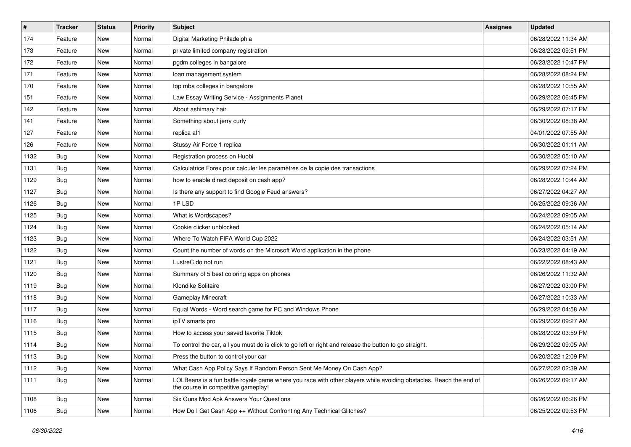| $\vert$ # | Tracker    | <b>Status</b> | <b>Priority</b> | Subject                                                                                                                                                  | Assignee | <b>Updated</b>      |
|-----------|------------|---------------|-----------------|----------------------------------------------------------------------------------------------------------------------------------------------------------|----------|---------------------|
| 174       | Feature    | New           | Normal          | Digital Marketing Philadelphia                                                                                                                           |          | 06/28/2022 11:34 AM |
| 173       | Feature    | <b>New</b>    | Normal          | private limited company registration                                                                                                                     |          | 06/28/2022 09:51 PM |
| 172       | Feature    | New           | Normal          | pgdm colleges in bangalore                                                                                                                               |          | 06/23/2022 10:47 PM |
| 171       | Feature    | New           | Normal          | loan management system                                                                                                                                   |          | 06/28/2022 08:24 PM |
| 170       | Feature    | New           | Normal          | top mba colleges in bangalore                                                                                                                            |          | 06/28/2022 10:55 AM |
| 151       | Feature    | New           | Normal          | Law Essay Writing Service - Assignments Planet                                                                                                           |          | 06/29/2022 06:45 PM |
| 142       | Feature    | New           | Normal          | About ashimary hair                                                                                                                                      |          | 06/29/2022 07:17 PM |
| 141       | Feature    | New           | Normal          | Something about jerry curly                                                                                                                              |          | 06/30/2022 08:38 AM |
| 127       | Feature    | New           | Normal          | replica af1                                                                                                                                              |          | 04/01/2022 07:55 AM |
| 126       | Feature    | New           | Normal          | Stussy Air Force 1 replica                                                                                                                               |          | 06/30/2022 01:11 AM |
| 1132      | <b>Bug</b> | New           | Normal          | Registration process on Huobi                                                                                                                            |          | 06/30/2022 05:10 AM |
| 1131      | Bug        | New           | Normal          | Calculatrice Forex pour calculer les paramètres de la copie des transactions                                                                             |          | 06/29/2022 07:24 PM |
| 1129      | Bug        | New           | Normal          | how to enable direct deposit on cash app?                                                                                                                |          | 06/28/2022 10:44 AM |
| 1127      | Bug        | New           | Normal          | Is there any support to find Google Feud answers?                                                                                                        |          | 06/27/2022 04:27 AM |
| 1126      | <b>Bug</b> | New           | Normal          | 1PLSD                                                                                                                                                    |          | 06/25/2022 09:36 AM |
| 1125      | Bug        | New           | Normal          | What is Wordscapes?                                                                                                                                      |          | 06/24/2022 09:05 AM |
| 1124      | Bug        | New           | Normal          | Cookie clicker unblocked                                                                                                                                 |          | 06/24/2022 05:14 AM |
| 1123      | Bug        | New           | Normal          | Where To Watch FIFA World Cup 2022                                                                                                                       |          | 06/24/2022 03:51 AM |
| 1122      | Bug        | New           | Normal          | Count the number of words on the Microsoft Word application in the phone                                                                                 |          | 06/23/2022 04:19 AM |
| 1121      | Bug        | New           | Normal          | LustreC do not run                                                                                                                                       |          | 06/22/2022 08:43 AM |
| 1120      | Bug        | New           | Normal          | Summary of 5 best coloring apps on phones                                                                                                                |          | 06/26/2022 11:32 AM |
| 1119      | Bug        | New           | Normal          | Klondike Solitaire                                                                                                                                       |          | 06/27/2022 03:00 PM |
| 1118      | Bug        | New           | Normal          | Gameplay Minecraft                                                                                                                                       |          | 06/27/2022 10:33 AM |
| 1117      | Bug        | New           | Normal          | Equal Words - Word search game for PC and Windows Phone                                                                                                  |          | 06/29/2022 04:58 AM |
| 1116      | <b>Bug</b> | New           | Normal          | ipTV smarts pro                                                                                                                                          |          | 06/29/2022 09:27 AM |
| 1115      | Bug        | New           | Normal          | How to access your saved favorite Tiktok                                                                                                                 |          | 06/28/2022 03:59 PM |
| 1114      | <b>Bug</b> | New           | Normal          | To control the car, all you must do is click to go left or right and release the button to go straight.                                                  |          | 06/29/2022 09:05 AM |
| 1113      | Bug        | New           | Normal          | Press the button to control your car                                                                                                                     |          | 06/20/2022 12:09 PM |
| 1112      | <b>Bug</b> | New           | Normal          | What Cash App Policy Says If Random Person Sent Me Money On Cash App?                                                                                    |          | 06/27/2022 02:39 AM |
| 1111      | <b>Bug</b> | New           | Normal          | LOLBeans is a fun battle royale game where you race with other players while avoiding obstacles. Reach the end of<br>the course in competitive gameplay! |          | 06/26/2022 09:17 AM |
| 1108      | Bug        | New           | Normal          | Six Guns Mod Apk Answers Your Questions                                                                                                                  |          | 06/26/2022 06:26 PM |
| 1106      | <b>Bug</b> | New           | Normal          | How Do I Get Cash App ++ Without Confronting Any Technical Glitches?                                                                                     |          | 06/25/2022 09:53 PM |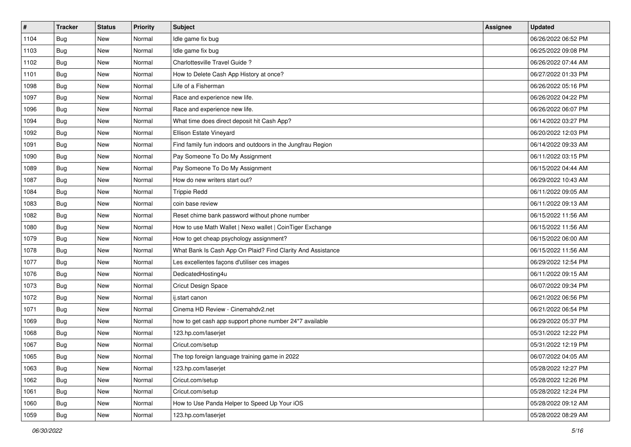| #    | <b>Tracker</b> | <b>Status</b> | <b>Priority</b> | Subject                                                     | Assignee | <b>Updated</b>      |
|------|----------------|---------------|-----------------|-------------------------------------------------------------|----------|---------------------|
| 1104 | <b>Bug</b>     | New           | Normal          | Idle game fix bug                                           |          | 06/26/2022 06:52 PM |
| 1103 | Bug            | <b>New</b>    | Normal          | Idle game fix bug                                           |          | 06/25/2022 09:08 PM |
| 1102 | Bug            | New           | Normal          | Charlottesville Travel Guide?                               |          | 06/26/2022 07:44 AM |
| 1101 | Bug            | New           | Normal          | How to Delete Cash App History at once?                     |          | 06/27/2022 01:33 PM |
| 1098 | <b>Bug</b>     | <b>New</b>    | Normal          | Life of a Fisherman                                         |          | 06/26/2022 05:16 PM |
| 1097 | Bug            | New           | Normal          | Race and experience new life.                               |          | 06/26/2022 04:22 PM |
| 1096 | Bug            | New           | Normal          | Race and experience new life.                               |          | 06/26/2022 06:07 PM |
| 1094 | <b>Bug</b>     | New           | Normal          | What time does direct deposit hit Cash App?                 |          | 06/14/2022 03:27 PM |
| 1092 | Bug            | New           | Normal          | Ellison Estate Vineyard                                     |          | 06/20/2022 12:03 PM |
| 1091 | Bug            | New           | Normal          | Find family fun indoors and outdoors in the Jungfrau Region |          | 06/14/2022 09:33 AM |
| 1090 | Bug            | New           | Normal          | Pay Someone To Do My Assignment                             |          | 06/11/2022 03:15 PM |
| 1089 | Bug            | New           | Normal          | Pay Someone To Do My Assignment                             |          | 06/15/2022 04:44 AM |
| 1087 | Bug            | <b>New</b>    | Normal          | How do new writers start out?                               |          | 06/29/2022 10:43 AM |
| 1084 | Bug            | <b>New</b>    | Normal          | <b>Trippie Redd</b>                                         |          | 06/11/2022 09:05 AM |
| 1083 | Bug            | <b>New</b>    | Normal          | coin base review                                            |          | 06/11/2022 09:13 AM |
| 1082 | Bug            | New           | Normal          | Reset chime bank password without phone number              |          | 06/15/2022 11:56 AM |
| 1080 | <b>Bug</b>     | New           | Normal          | How to use Math Wallet   Nexo wallet   CoinTiger Exchange   |          | 06/15/2022 11:56 AM |
| 1079 | <b>Bug</b>     | <b>New</b>    | Normal          | How to get cheap psychology assignment?                     |          | 06/15/2022 06:00 AM |
| 1078 | <b>Bug</b>     | New           | Normal          | What Bank Is Cash App On Plaid? Find Clarity And Assistance |          | 06/15/2022 11:56 AM |
| 1077 | <b>Bug</b>     | New           | Normal          | Les excellentes façons d'utiliser ces images                |          | 06/29/2022 12:54 PM |
| 1076 | Bug            | New           | Normal          | DedicatedHosting4u                                          |          | 06/11/2022 09:15 AM |
| 1073 | <b>Bug</b>     | New           | Normal          | Cricut Design Space                                         |          | 06/07/2022 09:34 PM |
| 1072 | Bug            | <b>New</b>    | Normal          | ij.start canon                                              |          | 06/21/2022 06:56 PM |
| 1071 | Bug            | New           | Normal          | Cinema HD Review - Cinemahdv2.net                           |          | 06/21/2022 06:54 PM |
| 1069 | Bug            | New           | Normal          | how to get cash app support phone number 24*7 available     |          | 06/29/2022 05:37 PM |
| 1068 | Bug            | New           | Normal          | 123.hp.com/laserjet                                         |          | 05/31/2022 12:22 PM |
| 1067 | <b>Bug</b>     | New           | Normal          | Cricut.com/setup                                            |          | 05/31/2022 12:19 PM |
| 1065 | <b>Bug</b>     | New           | Normal          | The top foreign language training game in 2022              |          | 06/07/2022 04:05 AM |
| 1063 | <b>Bug</b>     | New           | Normal          | 123.hp.com/laseriet                                         |          | 05/28/2022 12:27 PM |
| 1062 | Bug            | New           | Normal          | Cricut.com/setup                                            |          | 05/28/2022 12:26 PM |
| 1061 | <b>Bug</b>     | New           | Normal          | Cricut.com/setup                                            |          | 05/28/2022 12:24 PM |
| 1060 | <b>Bug</b>     | New           | Normal          | How to Use Panda Helper to Speed Up Your iOS                |          | 05/28/2022 09:12 AM |
| 1059 | <b>Bug</b>     | New           | Normal          | 123.hp.com/laserjet                                         |          | 05/28/2022 08:29 AM |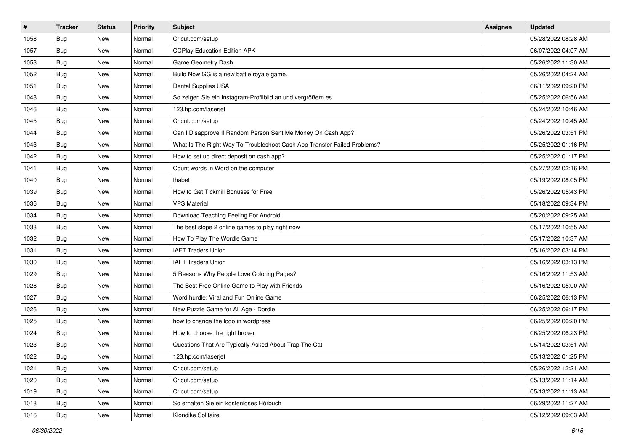| $\vert$ # | <b>Tracker</b> | <b>Status</b> | <b>Priority</b> | Subject                                                                  | Assignee | <b>Updated</b>      |
|-----------|----------------|---------------|-----------------|--------------------------------------------------------------------------|----------|---------------------|
| 1058      | <b>Bug</b>     | New           | Normal          | Cricut.com/setup                                                         |          | 05/28/2022 08:28 AM |
| 1057      | Bug            | New           | Normal          | <b>CCPlay Education Edition APK</b>                                      |          | 06/07/2022 04:07 AM |
| 1053      | Bug            | New           | Normal          | Game Geometry Dash                                                       |          | 05/26/2022 11:30 AM |
| 1052      | <b>Bug</b>     | New           | Normal          | Build Now GG is a new battle royale game.                                |          | 05/26/2022 04:24 AM |
| 1051      | Bug            | New           | Normal          | Dental Supplies USA                                                      |          | 06/11/2022 09:20 PM |
| 1048      | Bug            | New           | Normal          | So zeigen Sie ein Instagram-Profilbild an und vergrößern es              |          | 05/25/2022 06:56 AM |
| 1046      | <b>Bug</b>     | New           | Normal          | 123.hp.com/laserjet                                                      |          | 05/24/2022 10:46 AM |
| 1045      | Bug            | New           | Normal          | Cricut.com/setup                                                         |          | 05/24/2022 10:45 AM |
| 1044      | <b>Bug</b>     | New           | Normal          | Can I Disapprove If Random Person Sent Me Money On Cash App?             |          | 05/26/2022 03:51 PM |
| 1043      | Bug            | New           | Normal          | What Is The Right Way To Troubleshoot Cash App Transfer Failed Problems? |          | 05/25/2022 01:16 PM |
| 1042      | <b>Bug</b>     | New           | Normal          | How to set up direct deposit on cash app?                                |          | 05/25/2022 01:17 PM |
| 1041      | Bug            | New           | Normal          | Count words in Word on the computer                                      |          | 05/27/2022 02:16 PM |
| 1040      | <b>Bug</b>     | New           | Normal          | thabet                                                                   |          | 05/19/2022 08:05 PM |
| 1039      | <b>Bug</b>     | New           | Normal          | How to Get Tickmill Bonuses for Free                                     |          | 05/26/2022 05:43 PM |
| 1036      | Bug            | New           | Normal          | <b>VPS Material</b>                                                      |          | 05/18/2022 09:34 PM |
| 1034      | Bug            | New           | Normal          | Download Teaching Feeling For Android                                    |          | 05/20/2022 09:25 AM |
| 1033      | <b>Bug</b>     | New           | Normal          | The best slope 2 online games to play right now                          |          | 05/17/2022 10:55 AM |
| 1032      | Bug            | New           | Normal          | How To Play The Wordle Game                                              |          | 05/17/2022 10:37 AM |
| 1031      | <b>Bug</b>     | New           | Normal          | <b>IAFT Traders Union</b>                                                |          | 05/16/2022 03:14 PM |
| 1030      | Bug            | New           | Normal          | <b>IAFT Traders Union</b>                                                |          | 05/16/2022 03:13 PM |
| 1029      | Bug            | New           | Normal          | 5 Reasons Why People Love Coloring Pages?                                |          | 05/16/2022 11:53 AM |
| 1028      | Bug            | New           | Normal          | The Best Free Online Game to Play with Friends                           |          | 05/16/2022 05:00 AM |
| 1027      | Bug            | New           | Normal          | Word hurdle: Viral and Fun Online Game                                   |          | 06/25/2022 06:13 PM |
| 1026      | <b>Bug</b>     | New           | Normal          | New Puzzle Game for All Age - Dordle                                     |          | 06/25/2022 06:17 PM |
| 1025      | <b>Bug</b>     | New           | Normal          | how to change the logo in wordpress                                      |          | 06/25/2022 06:20 PM |
| 1024      | <b>Bug</b>     | New           | Normal          | How to choose the right broker                                           |          | 06/25/2022 06:23 PM |
| 1023      | <b>Bug</b>     | New           | Normal          | Questions That Are Typically Asked About Trap The Cat                    |          | 05/14/2022 03:51 AM |
| 1022      | <b>Bug</b>     | New           | Normal          | 123.hp.com/laserjet                                                      |          | 05/13/2022 01:25 PM |
| 1021      | Bug            | New           | Normal          | Cricut.com/setup                                                         |          | 05/26/2022 12:21 AM |
| 1020      | Bug            | New           | Normal          | Cricut.com/setup                                                         |          | 05/13/2022 11:14 AM |
| 1019      | Bug            | New           | Normal          | Cricut.com/setup                                                         |          | 05/13/2022 11:13 AM |
| 1018      | <b>Bug</b>     | New           | Normal          | So erhalten Sie ein kostenloses Hörbuch                                  |          | 06/29/2022 11:27 AM |
| 1016      | <b>Bug</b>     | New           | Normal          | Klondike Solitaire                                                       |          | 05/12/2022 09:03 AM |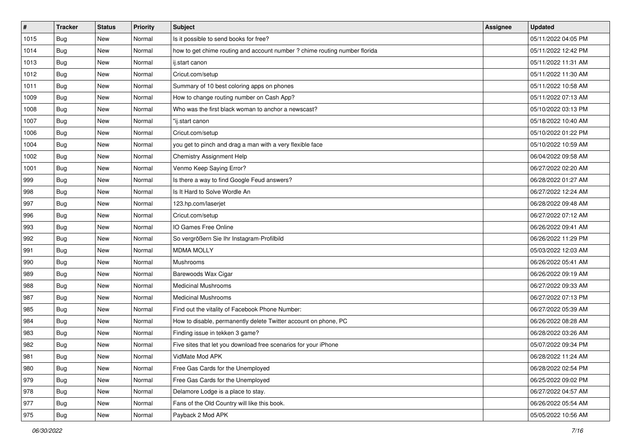| #    | <b>Tracker</b> | <b>Status</b> | Priority | <b>Subject</b>                                                             | Assignee | <b>Updated</b>      |
|------|----------------|---------------|----------|----------------------------------------------------------------------------|----------|---------------------|
| 1015 | <b>Bug</b>     | New           | Normal   | Is it possible to send books for free?                                     |          | 05/11/2022 04:05 PM |
| 1014 | Bug            | New           | Normal   | how to get chime routing and account number ? chime routing number florida |          | 05/11/2022 12:42 PM |
| 1013 | Bug            | New           | Normal   | ij.start canon                                                             |          | 05/11/2022 11:31 AM |
| 1012 | Bug            | New           | Normal   | Cricut.com/setup                                                           |          | 05/11/2022 11:30 AM |
| 1011 | Bug            | New           | Normal   | Summary of 10 best coloring apps on phones                                 |          | 05/11/2022 10:58 AM |
| 1009 | <b>Bug</b>     | New           | Normal   | How to change routing number on Cash App?                                  |          | 05/11/2022 07:13 AM |
| 1008 | Bug            | New           | Normal   | Who was the first black woman to anchor a newscast?                        |          | 05/10/2022 03:13 PM |
| 1007 | Bug            | New           | Normal   | "ij.start canon                                                            |          | 05/18/2022 10:40 AM |
| 1006 | Bug            | New           | Normal   | Cricut.com/setup                                                           |          | 05/10/2022 01:22 PM |
| 1004 | Bug            | New           | Normal   | you get to pinch and drag a man with a very flexible face                  |          | 05/10/2022 10:59 AM |
| 1002 | Bug            | New           | Normal   | Chemistry Assignment Help                                                  |          | 06/04/2022 09:58 AM |
| 1001 | <b>Bug</b>     | New           | Normal   | Venmo Keep Saying Error?                                                   |          | 06/27/2022 02:20 AM |
| 999  | Bug            | New           | Normal   | Is there a way to find Google Feud answers?                                |          | 06/28/2022 01:27 AM |
| 998  | <b>Bug</b>     | New           | Normal   | Is It Hard to Solve Wordle An                                              |          | 06/27/2022 12:24 AM |
| 997  | <b>Bug</b>     | New           | Normal   | 123.hp.com/laserjet                                                        |          | 06/28/2022 09:48 AM |
| 996  | Bug            | New           | Normal   | Cricut.com/setup                                                           |          | 06/27/2022 07:12 AM |
| 993  | <b>Bug</b>     | New           | Normal   | IO Games Free Online                                                       |          | 06/26/2022 09:41 AM |
| 992  | Bug            | New           | Normal   | So vergrößern Sie Ihr Instagram-Profilbild                                 |          | 06/26/2022 11:29 PM |
| 991  | <b>Bug</b>     | New           | Normal   | <b>MDMA MOLLY</b>                                                          |          | 05/03/2022 12:03 AM |
| 990  | Bug            | New           | Normal   | Mushrooms                                                                  |          | 06/26/2022 05:41 AM |
| 989  | Bug            | New           | Normal   | Barewoods Wax Cigar                                                        |          | 06/26/2022 09:19 AM |
| 988  | Bug            | New           | Normal   | <b>Medicinal Mushrooms</b>                                                 |          | 06/27/2022 09:33 AM |
| 987  | Bug            | New           | Normal   | <b>Medicinal Mushrooms</b>                                                 |          | 06/27/2022 07:13 PM |
| 985  | <b>Bug</b>     | New           | Normal   | Find out the vitality of Facebook Phone Number:                            |          | 06/27/2022 05:39 AM |
| 984  | <b>Bug</b>     | New           | Normal   | How to disable, permanently delete Twitter account on phone, PC            |          | 06/26/2022 08:28 AM |
| 983  | Bug            | New           | Normal   | Finding issue in tekken 3 game?                                            |          | 06/28/2022 03:26 AM |
| 982  | <b>Bug</b>     | New           | Normal   | Five sites that let you download free scenarios for your iPhone            |          | 05/07/2022 09:34 PM |
| 981  | Bug            | New           | Normal   | VidMate Mod APK                                                            |          | 06/28/2022 11:24 AM |
| 980  | Bug            | New           | Normal   | Free Gas Cards for the Unemployed                                          |          | 06/28/2022 02:54 PM |
| 979  | <b>Bug</b>     | New           | Normal   | Free Gas Cards for the Unemployed                                          |          | 06/25/2022 09:02 PM |
| 978  | Bug            | New           | Normal   | Delamore Lodge is a place to stay.                                         |          | 06/27/2022 04:57 AM |
| 977  | <b>Bug</b>     | New           | Normal   | Fans of the Old Country will like this book.                               |          | 06/26/2022 05:54 AM |
| 975  | <b>Bug</b>     | New           | Normal   | Payback 2 Mod APK                                                          |          | 05/05/2022 10:56 AM |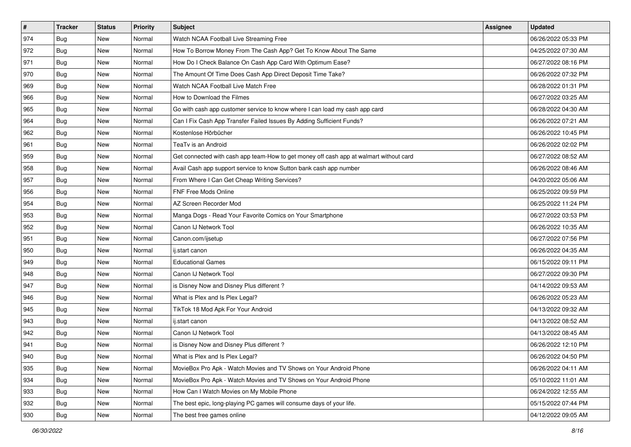| #   | <b>Tracker</b> | <b>Status</b> | Priority | <b>Subject</b>                                                                         | Assignee | <b>Updated</b>      |
|-----|----------------|---------------|----------|----------------------------------------------------------------------------------------|----------|---------------------|
| 974 | <b>Bug</b>     | New           | Normal   | Watch NCAA Football Live Streaming Free                                                |          | 06/26/2022 05:33 PM |
| 972 | Bug            | New           | Normal   | How To Borrow Money From The Cash App? Get To Know About The Same                      |          | 04/25/2022 07:30 AM |
| 971 | Bug            | New           | Normal   | How Do I Check Balance On Cash App Card With Optimum Ease?                             |          | 06/27/2022 08:16 PM |
| 970 | <b>Bug</b>     | New           | Normal   | The Amount Of Time Does Cash App Direct Deposit Time Take?                             |          | 06/26/2022 07:32 PM |
| 969 | Bug            | New           | Normal   | Watch NCAA Football Live Match Free                                                    |          | 06/28/2022 01:31 PM |
| 966 | <b>Bug</b>     | New           | Normal   | How to Download the Filmes                                                             |          | 06/27/2022 03:25 AM |
| 965 | <b>Bug</b>     | New           | Normal   | Go with cash app customer service to know where I can load my cash app card            |          | 06/28/2022 04:30 AM |
| 964 | Bug            | New           | Normal   | Can I Fix Cash App Transfer Failed Issues By Adding Sufficient Funds?                  |          | 06/26/2022 07:21 AM |
| 962 | Bug            | New           | Normal   | Kostenlose Hörbücher                                                                   |          | 06/26/2022 10:45 PM |
| 961 | Bug            | New           | Normal   | TeaTv is an Android                                                                    |          | 06/26/2022 02:02 PM |
| 959 | <b>Bug</b>     | New           | Normal   | Get connected with cash app team-How to get money off cash app at walmart without card |          | 06/27/2022 08:52 AM |
| 958 | Bug            | New           | Normal   | Avail Cash app support service to know Sutton bank cash app number                     |          | 06/26/2022 08:46 AM |
| 957 | Bug            | New           | Normal   | From Where I Can Get Cheap Writing Services?                                           |          | 04/20/2022 05:06 AM |
| 956 | <b>Bug</b>     | New           | Normal   | FNF Free Mods Online                                                                   |          | 06/25/2022 09:59 PM |
| 954 | <b>Bug</b>     | New           | Normal   | AZ Screen Recorder Mod                                                                 |          | 06/25/2022 11:24 PM |
| 953 | Bug            | New           | Normal   | Manga Dogs - Read Your Favorite Comics on Your Smartphone                              |          | 06/27/2022 03:53 PM |
| 952 | <b>Bug</b>     | New           | Normal   | Canon IJ Network Tool                                                                  |          | 06/26/2022 10:35 AM |
| 951 | Bug            | New           | Normal   | Canon.com/ijsetup                                                                      |          | 06/27/2022 07:56 PM |
| 950 | <b>Bug</b>     | New           | Normal   | ij.start canon                                                                         |          | 06/26/2022 04:35 AM |
| 949 | Bug            | New           | Normal   | <b>Educational Games</b>                                                               |          | 06/15/2022 09:11 PM |
| 948 | Bug            | New           | Normal   | Canon IJ Network Tool                                                                  |          | 06/27/2022 09:30 PM |
| 947 | Bug            | New           | Normal   | is Disney Now and Disney Plus different?                                               |          | 04/14/2022 09:53 AM |
| 946 | Bug            | New           | Normal   | What is Plex and Is Plex Legal?                                                        |          | 06/26/2022 05:23 AM |
| 945 | <b>Bug</b>     | New           | Normal   | TikTok 18 Mod Apk For Your Android                                                     |          | 04/13/2022 09:32 AM |
| 943 | Bug            | New           | Normal   | ij.start canon                                                                         |          | 04/13/2022 08:52 AM |
| 942 | Bug            | New           | Normal   | Canon IJ Network Tool                                                                  |          | 04/13/2022 08:45 AM |
| 941 | <b>Bug</b>     | New           | Normal   | is Disney Now and Disney Plus different?                                               |          | 06/26/2022 12:10 PM |
| 940 | <b>Bug</b>     | New           | Normal   | What is Plex and Is Plex Legal?                                                        |          | 06/26/2022 04:50 PM |
| 935 | Bug            | New           | Normal   | MovieBox Pro Apk - Watch Movies and TV Shows on Your Android Phone                     |          | 06/26/2022 04:11 AM |
| 934 | Bug            | New           | Normal   | MovieBox Pro Apk - Watch Movies and TV Shows on Your Android Phone                     |          | 05/10/2022 11:01 AM |
| 933 | Bug            | New           | Normal   | How Can I Watch Movies on My Mobile Phone                                              |          | 06/24/2022 12:55 AM |
| 932 | <b>Bug</b>     | New           | Normal   | The best epic, long-playing PC games will consume days of your life.                   |          | 05/15/2022 07:44 PM |
| 930 | <b>Bug</b>     | New           | Normal   | The best free games online                                                             |          | 04/12/2022 09:05 AM |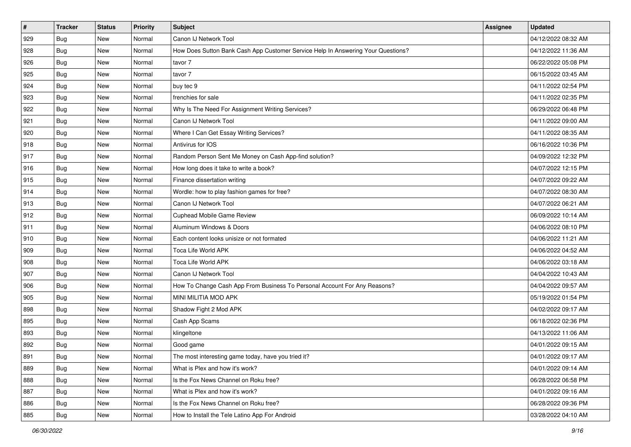| $\vert$ # | <b>Tracker</b> | <b>Status</b> | <b>Priority</b> | <b>Subject</b>                                                                   | Assignee | <b>Updated</b>      |
|-----------|----------------|---------------|-----------------|----------------------------------------------------------------------------------|----------|---------------------|
| 929       | <b>Bug</b>     | New           | Normal          | Canon IJ Network Tool                                                            |          | 04/12/2022 08:32 AM |
| 928       | Bug            | New           | Normal          | How Does Sutton Bank Cash App Customer Service Help In Answering Your Questions? |          | 04/12/2022 11:36 AM |
| 926       | Bug            | New           | Normal          | tavor 7                                                                          |          | 06/22/2022 05:08 PM |
| 925       | Bug            | New           | Normal          | tavor 7                                                                          |          | 06/15/2022 03:45 AM |
| 924       | Bug            | New           | Normal          | buy tec 9                                                                        |          | 04/11/2022 02:54 PM |
| 923       | Bug            | New           | Normal          | frenchies for sale                                                               |          | 04/11/2022 02:35 PM |
| 922       | <b>Bug</b>     | New           | Normal          | Why Is The Need For Assignment Writing Services?                                 |          | 06/29/2022 06:48 PM |
| 921       | <b>Bug</b>     | New           | Normal          | Canon IJ Network Tool                                                            |          | 04/11/2022 09:00 AM |
| 920       | <b>Bug</b>     | New           | Normal          | Where I Can Get Essay Writing Services?                                          |          | 04/11/2022 08:35 AM |
| 918       | Bug            | New           | Normal          | Antivirus for IOS                                                                |          | 06/16/2022 10:36 PM |
| 917       | Bug            | New           | Normal          | Random Person Sent Me Money on Cash App-find solution?                           |          | 04/09/2022 12:32 PM |
| 916       | <b>Bug</b>     | New           | Normal          | How long does it take to write a book?                                           |          | 04/07/2022 12:15 PM |
| 915       | Bug            | New           | Normal          | Finance dissertation writing                                                     |          | 04/07/2022 09:22 AM |
| 914       | <b>Bug</b>     | New           | Normal          | Wordle: how to play fashion games for free?                                      |          | 04/07/2022 08:30 AM |
| 913       | Bug            | New           | Normal          | Canon IJ Network Tool                                                            |          | 04/07/2022 06:21 AM |
| 912       | Bug            | New           | Normal          | Cuphead Mobile Game Review                                                       |          | 06/09/2022 10:14 AM |
| 911       | Bug            | New           | Normal          | Aluminum Windows & Doors                                                         |          | 04/06/2022 08:10 PM |
| 910       | Bug            | New           | Normal          | Each content looks unisize or not formated                                       |          | 04/06/2022 11:21 AM |
| 909       | <b>Bug</b>     | New           | Normal          | Toca Life World APK                                                              |          | 04/06/2022 04:52 AM |
| 908       | Bug            | New           | Normal          | Toca Life World APK                                                              |          | 04/06/2022 03:18 AM |
| 907       | Bug            | New           | Normal          | Canon IJ Network Tool                                                            |          | 04/04/2022 10:43 AM |
| 906       | <b>Bug</b>     | New           | Normal          | How To Change Cash App From Business To Personal Account For Any Reasons?        |          | 04/04/2022 09:57 AM |
| 905       | Bug            | New           | Normal          | MINI MILITIA MOD APK                                                             |          | 05/19/2022 01:54 PM |
| 898       | Bug            | New           | Normal          | Shadow Fight 2 Mod APK                                                           |          | 04/02/2022 09:17 AM |
| 895       | <b>Bug</b>     | New           | Normal          | Cash App Scams                                                                   |          | 06/18/2022 02:36 PM |
| 893       | Bug            | New           | Normal          | klingeltone                                                                      |          | 04/13/2022 11:06 AM |
| 892       | <b>Bug</b>     | New           | Normal          | Good game                                                                        |          | 04/01/2022 09:15 AM |
| 891       | Bug            | New           | Normal          | The most interesting game today, have you tried it?                              |          | 04/01/2022 09:17 AM |
| 889       | Bug            | New           | Normal          | What is Plex and how it's work?                                                  |          | 04/01/2022 09:14 AM |
| 888       | Bug            | New           | Normal          | Is the Fox News Channel on Roku free?                                            |          | 06/28/2022 06:58 PM |
| 887       | Bug            | New           | Normal          | What is Plex and how it's work?                                                  |          | 04/01/2022 09:16 AM |
| 886       | <b>Bug</b>     | New           | Normal          | Is the Fox News Channel on Roku free?                                            |          | 06/28/2022 09:36 PM |
| 885       | Bug            | New           | Normal          | How to Install the Tele Latino App For Android                                   |          | 03/28/2022 04:10 AM |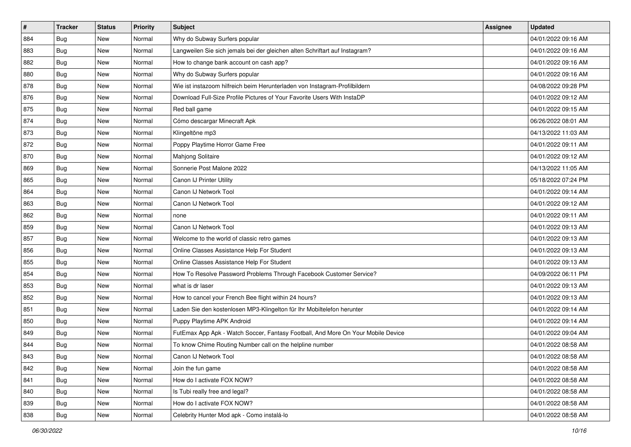| #   | <b>Tracker</b> | <b>Status</b> | Priority | <b>Subject</b>                                                                   | Assignee | <b>Updated</b>      |
|-----|----------------|---------------|----------|----------------------------------------------------------------------------------|----------|---------------------|
| 884 | <b>Bug</b>     | New           | Normal   | Why do Subway Surfers popular                                                    |          | 04/01/2022 09:16 AM |
| 883 | Bug            | New           | Normal   | Langweilen Sie sich jemals bei der gleichen alten Schriftart auf Instagram?      |          | 04/01/2022 09:16 AM |
| 882 | Bug            | New           | Normal   | How to change bank account on cash app?                                          |          | 04/01/2022 09:16 AM |
| 880 | <b>Bug</b>     | New           | Normal   | Why do Subway Surfers popular                                                    |          | 04/01/2022 09:16 AM |
| 878 | Bug            | New           | Normal   | Wie ist instazoom hilfreich beim Herunterladen von Instagram-Profilbildern       |          | 04/08/2022 09:28 PM |
| 876 | <b>Bug</b>     | New           | Normal   | Download Full-Size Profile Pictures of Your Favorite Users With InstaDP          |          | 04/01/2022 09:12 AM |
| 875 | <b>Bug</b>     | New           | Normal   | Red ball game                                                                    |          | 04/01/2022 09:15 AM |
| 874 | Bug            | New           | Normal   | Cómo descargar Minecraft Apk                                                     |          | 06/26/2022 08:01 AM |
| 873 | Bug            | New           | Normal   | Klingeltöne mp3                                                                  |          | 04/13/2022 11:03 AM |
| 872 | Bug            | New           | Normal   | Poppy Playtime Horror Game Free                                                  |          | 04/01/2022 09:11 AM |
| 870 | <b>Bug</b>     | New           | Normal   | Mahjong Solitaire                                                                |          | 04/01/2022 09:12 AM |
| 869 | Bug            | New           | Normal   | Sonnerie Post Malone 2022                                                        |          | 04/13/2022 11:05 AM |
| 865 | Bug            | New           | Normal   | Canon IJ Printer Utility                                                         |          | 05/18/2022 07:24 PM |
| 864 | <b>Bug</b>     | New           | Normal   | Canon IJ Network Tool                                                            |          | 04/01/2022 09:14 AM |
| 863 | <b>Bug</b>     | New           | Normal   | Canon IJ Network Tool                                                            |          | 04/01/2022 09:12 AM |
| 862 | Bug            | New           | Normal   | none                                                                             |          | 04/01/2022 09:11 AM |
| 859 | <b>Bug</b>     | New           | Normal   | Canon IJ Network Tool                                                            |          | 04/01/2022 09:13 AM |
| 857 | Bug            | New           | Normal   | Welcome to the world of classic retro games                                      |          | 04/01/2022 09:13 AM |
| 856 | <b>Bug</b>     | New           | Normal   | Online Classes Assistance Help For Student                                       |          | 04/01/2022 09:13 AM |
| 855 | Bug            | New           | Normal   | Online Classes Assistance Help For Student                                       |          | 04/01/2022 09:13 AM |
| 854 | Bug            | New           | Normal   | How To Resolve Password Problems Through Facebook Customer Service?              |          | 04/09/2022 06:11 PM |
| 853 | Bug            | New           | Normal   | what is dr laser                                                                 |          | 04/01/2022 09:13 AM |
| 852 | Bug            | New           | Normal   | How to cancel your French Bee flight within 24 hours?                            |          | 04/01/2022 09:13 AM |
| 851 | <b>Bug</b>     | New           | Normal   | Laden Sie den kostenlosen MP3-Klingelton für Ihr Mobiltelefon herunter           |          | 04/01/2022 09:14 AM |
| 850 | <b>Bug</b>     | New           | Normal   | Puppy Playtime APK Android                                                       |          | 04/01/2022 09:14 AM |
| 849 | Bug            | New           | Normal   | FutEmax App Apk - Watch Soccer, Fantasy Football, And More On Your Mobile Device |          | 04/01/2022 09:04 AM |
| 844 | <b>Bug</b>     | New           | Normal   | To know Chime Routing Number call on the helpline number                         |          | 04/01/2022 08:58 AM |
| 843 | <b>Bug</b>     | New           | Normal   | Canon IJ Network Tool                                                            |          | 04/01/2022 08:58 AM |
| 842 | Bug            | New           | Normal   | Join the fun game                                                                |          | 04/01/2022 08:58 AM |
| 841 | <b>Bug</b>     | New           | Normal   | How do I activate FOX NOW?                                                       |          | 04/01/2022 08:58 AM |
| 840 | Bug            | New           | Normal   | Is Tubi really free and legal?                                                   |          | 04/01/2022 08:58 AM |
| 839 | <b>Bug</b>     | New           | Normal   | How do I activate FOX NOW?                                                       |          | 04/01/2022 08:58 AM |
| 838 | <b>Bug</b>     | New           | Normal   | Celebrity Hunter Mod apk - Como instalá-lo                                       |          | 04/01/2022 08:58 AM |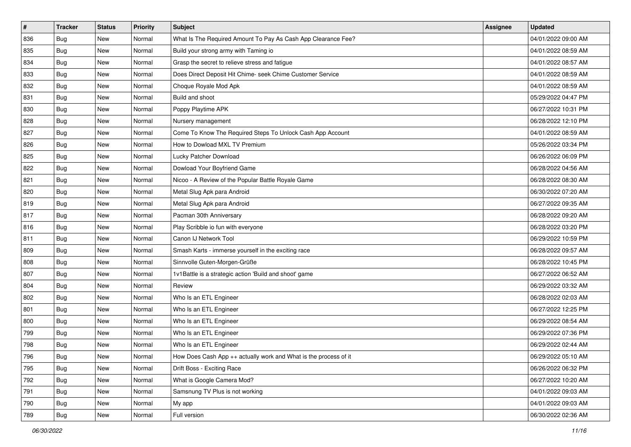| #   | <b>Tracker</b> | <b>Status</b> | <b>Priority</b> | <b>Subject</b>                                                   | <b>Assignee</b> | <b>Updated</b>      |
|-----|----------------|---------------|-----------------|------------------------------------------------------------------|-----------------|---------------------|
| 836 | <b>Bug</b>     | New           | Normal          | What Is The Required Amount To Pay As Cash App Clearance Fee?    |                 | 04/01/2022 09:00 AM |
| 835 | Bug            | New           | Normal          | Build your strong army with Taming io                            |                 | 04/01/2022 08:59 AM |
| 834 | Bug            | New           | Normal          | Grasp the secret to relieve stress and fatigue                   |                 | 04/01/2022 08:57 AM |
| 833 | <b>Bug</b>     | New           | Normal          | Does Direct Deposit Hit Chime- seek Chime Customer Service       |                 | 04/01/2022 08:59 AM |
| 832 | Bug            | New           | Normal          | Choque Royale Mod Apk                                            |                 | 04/01/2022 08:59 AM |
| 831 | <b>Bug</b>     | New           | Normal          | Build and shoot                                                  |                 | 05/29/2022 04:47 PM |
| 830 | <b>Bug</b>     | New           | Normal          | Poppy Playtime APK                                               |                 | 06/27/2022 10:31 PM |
| 828 | Bug            | New           | Normal          | Nursery management                                               |                 | 06/28/2022 12:10 PM |
| 827 | Bug            | New           | Normal          | Come To Know The Required Steps To Unlock Cash App Account       |                 | 04/01/2022 08:59 AM |
| 826 | <b>Bug</b>     | New           | Normal          | How to Dowload MXL TV Premium                                    |                 | 05/26/2022 03:34 PM |
| 825 | <b>Bug</b>     | New           | Normal          | Lucky Patcher Download                                           |                 | 06/26/2022 06:09 PM |
| 822 | <b>Bug</b>     | New           | Normal          | Dowload Your Boyfriend Game                                      |                 | 06/28/2022 04:56 AM |
| 821 | Bug            | New           | Normal          | Nicoo - A Review of the Popular Battle Royale Game               |                 | 06/28/2022 08:30 AM |
| 820 | <b>Bug</b>     | New           | Normal          | Metal Slug Apk para Android                                      |                 | 06/30/2022 07:20 AM |
| 819 | <b>Bug</b>     | New           | Normal          | Metal Slug Apk para Android                                      |                 | 06/27/2022 09:35 AM |
| 817 | <b>Bug</b>     | New           | Normal          | Pacman 30th Anniversary                                          |                 | 06/28/2022 09:20 AM |
| 816 | <b>Bug</b>     | New           | Normal          | Play Scribble io fun with everyone                               |                 | 06/28/2022 03:20 PM |
| 811 | Bug            | New           | Normal          | Canon IJ Network Tool                                            |                 | 06/29/2022 10:59 PM |
| 809 | <b>Bug</b>     | New           | Normal          | Smash Karts - immerse yourself in the exciting race              |                 | 06/28/2022 09:57 AM |
| 808 | Bug            | New           | Normal          | Sinnvolle Guten-Morgen-Grüße                                     |                 | 06/28/2022 10:45 PM |
| 807 | Bug            | New           | Normal          | 1v1Battle is a strategic action 'Build and shoot' game           |                 | 06/27/2022 06:52 AM |
| 804 | Bug            | New           | Normal          | Review                                                           |                 | 06/29/2022 03:32 AM |
| 802 | Bug            | New           | Normal          | Who Is an ETL Engineer                                           |                 | 06/28/2022 02:03 AM |
| 801 | <b>Bug</b>     | New           | Normal          | Who Is an ETL Engineer                                           |                 | 06/27/2022 12:25 PM |
| 800 | <b>Bug</b>     | New           | Normal          | Who Is an ETL Engineer                                           |                 | 06/29/2022 08:54 AM |
| 799 | <b>Bug</b>     | New           | Normal          | Who Is an ETL Engineer                                           |                 | 06/29/2022 07:36 PM |
| 798 | <b>Bug</b>     | New           | Normal          | Who Is an ETL Engineer                                           |                 | 06/29/2022 02:44 AM |
| 796 | Bug            | New           | Normal          | How Does Cash App ++ actually work and What is the process of it |                 | 06/29/2022 05:10 AM |
| 795 | Bug            | New           | Normal          | Drift Boss - Exciting Race                                       |                 | 06/26/2022 06:32 PM |
| 792 | <b>Bug</b>     | New           | Normal          | What is Google Camera Mod?                                       |                 | 06/27/2022 10:20 AM |
| 791 | Bug            | New           | Normal          | Samsnung TV Plus is not working                                  |                 | 04/01/2022 09:03 AM |
| 790 | Bug            | New           | Normal          | My app                                                           |                 | 04/01/2022 09:03 AM |
| 789 | Bug            | New           | Normal          | Full version                                                     |                 | 06/30/2022 02:36 AM |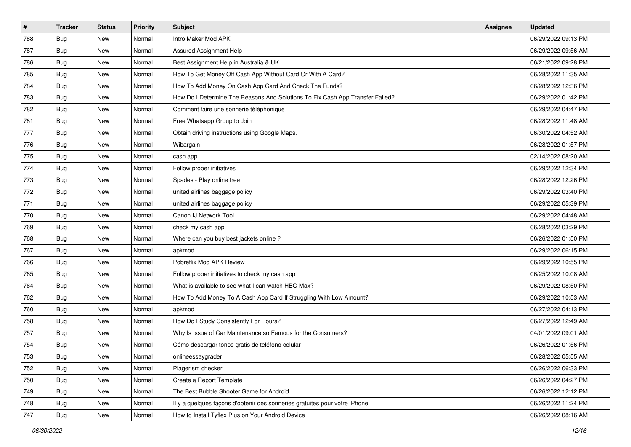| #   | <b>Tracker</b> | <b>Status</b> | <b>Priority</b> | Subject                                                                       | Assignee | <b>Updated</b>      |
|-----|----------------|---------------|-----------------|-------------------------------------------------------------------------------|----------|---------------------|
| 788 | <b>Bug</b>     | New           | Normal          | Intro Maker Mod APK                                                           |          | 06/29/2022 09:13 PM |
| 787 | Bug            | New           | Normal          | Assured Assignment Help                                                       |          | 06/29/2022 09:56 AM |
| 786 | Bug            | New           | Normal          | Best Assignment Help in Australia & UK                                        |          | 06/21/2022 09:28 PM |
| 785 | <b>Bug</b>     | New           | Normal          | How To Get Money Off Cash App Without Card Or With A Card?                    |          | 06/28/2022 11:35 AM |
| 784 | <b>Bug</b>     | New           | Normal          | How To Add Money On Cash App Card And Check The Funds?                        |          | 06/28/2022 12:36 PM |
| 783 | <b>Bug</b>     | New           | Normal          | How Do I Determine The Reasons And Solutions To Fix Cash App Transfer Failed? |          | 06/29/2022 01:42 PM |
| 782 | Bug            | New           | Normal          | Comment faire une sonnerie téléphonique                                       |          | 06/29/2022 04:47 PM |
| 781 | <b>Bug</b>     | New           | Normal          | Free Whatsapp Group to Join                                                   |          | 06/28/2022 11:48 AM |
| 777 | <b>Bug</b>     | New           | Normal          | Obtain driving instructions using Google Maps.                                |          | 06/30/2022 04:52 AM |
| 776 | Bug            | New           | Normal          | Wibargain                                                                     |          | 06/28/2022 01:57 PM |
| 775 | <b>Bug</b>     | New           | Normal          | cash app                                                                      |          | 02/14/2022 08:20 AM |
| 774 | <b>Bug</b>     | New           | Normal          | Follow proper initiatives                                                     |          | 06/29/2022 12:34 PM |
| 773 | Bug            | <b>New</b>    | Normal          | Spades - Play online free                                                     |          | 06/28/2022 12:26 PM |
| 772 | <b>Bug</b>     | New           | Normal          | united airlines baggage policy                                                |          | 06/29/2022 03:40 PM |
| 771 | <b>Bug</b>     | New           | Normal          | united airlines baggage policy                                                |          | 06/29/2022 05:39 PM |
| 770 | Bug            | New           | Normal          | Canon IJ Network Tool                                                         |          | 06/29/2022 04:48 AM |
| 769 | <b>Bug</b>     | New           | Normal          | check my cash app                                                             |          | 06/28/2022 03:29 PM |
| 768 | Bug            | <b>New</b>    | Normal          | Where can you buy best jackets online?                                        |          | 06/26/2022 01:50 PM |
| 767 | <b>Bug</b>     | New           | Normal          | apkmod                                                                        |          | 06/29/2022 06:15 PM |
| 766 | <b>Bug</b>     | New           | Normal          | Pobreflix Mod APK Review                                                      |          | 06/29/2022 10:55 PM |
| 765 | <b>Bug</b>     | New           | Normal          | Follow proper initiatives to check my cash app                                |          | 06/25/2022 10:08 AM |
| 764 | <b>Bug</b>     | New           | Normal          | What is available to see what I can watch HBO Max?                            |          | 06/29/2022 08:50 PM |
| 762 | Bug            | New           | Normal          | How To Add Money To A Cash App Card If Struggling With Low Amount?            |          | 06/29/2022 10:53 AM |
| 760 | <b>Bug</b>     | New           | Normal          | apkmod                                                                        |          | 06/27/2022 04:13 PM |
| 758 | Bug            | New           | Normal          | How Do I Study Consistently For Hours?                                        |          | 06/27/2022 12:49 AM |
| 757 | Bug            | <b>New</b>    | Normal          | Why Is Issue of Car Maintenance so Famous for the Consumers?                  |          | 04/01/2022 09:01 AM |
| 754 | <b>Bug</b>     | New           | Normal          | Cómo descargar tonos gratis de teléfono celular                               |          | 06/26/2022 01:56 PM |
| 753 | Bug            | New           | Normal          | onlineessaygrader                                                             |          | 06/28/2022 05:55 AM |
| 752 | <b>Bug</b>     | New           | Normal          | Plagerism checker                                                             |          | 06/26/2022 06:33 PM |
| 750 | Bug            | New           | Normal          | Create a Report Template                                                      |          | 06/26/2022 04:27 PM |
| 749 | Bug            | New           | Normal          | The Best Bubble Shooter Game for Android                                      |          | 06/26/2022 12:12 PM |
| 748 | <b>Bug</b>     | New           | Normal          | Il y a quelques façons d'obtenir des sonneries gratuites pour votre iPhone    |          | 06/26/2022 11:24 PM |
| 747 | <b>Bug</b>     | New           | Normal          | How to Install Tyflex Plus on Your Android Device                             |          | 06/26/2022 08:16 AM |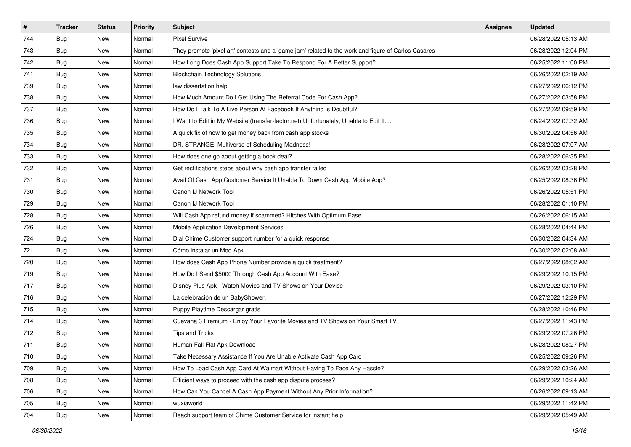| $\vert$ # | <b>Tracker</b> | <b>Status</b> | <b>Priority</b> | Subject                                                                                             | <b>Assignee</b> | <b>Updated</b>      |
|-----------|----------------|---------------|-----------------|-----------------------------------------------------------------------------------------------------|-----------------|---------------------|
| 744       | <b>Bug</b>     | New           | Normal          | <b>Pixel Survive</b>                                                                                |                 | 06/28/2022 05:13 AM |
| 743       | Bug            | New           | Normal          | They promote 'pixel art' contests and a 'game jam' related to the work and figure of Carlos Casares |                 | 06/28/2022 12:04 PM |
| 742       | Bug            | New           | Normal          | How Long Does Cash App Support Take To Respond For A Better Support?                                |                 | 06/25/2022 11:00 PM |
| 741       | Bug            | New           | Normal          | <b>Blockchain Technology Solutions</b>                                                              |                 | 06/26/2022 02:19 AM |
| 739       | <b>Bug</b>     | New           | Normal          | law dissertation help                                                                               |                 | 06/27/2022 06:12 PM |
| 738       | <b>Bug</b>     | New           | Normal          | How Much Amount Do I Get Using The Referral Code For Cash App?                                      |                 | 06/27/2022 03:58 PM |
| 737       | Bug            | New           | Normal          | How Do I Talk To A Live Person At Facebook If Anything Is Doubtful?                                 |                 | 06/27/2022 09:59 PM |
| 736       | <b>Bug</b>     | New           | Normal          | I Want to Edit in My Website (transfer-factor.net) Unfortunately, Unable to Edit It                 |                 | 06/24/2022 07:32 AM |
| 735       | Bug            | New           | Normal          | A quick fix of how to get money back from cash app stocks                                           |                 | 06/30/2022 04:56 AM |
| 734       | Bug            | New           | Normal          | DR. STRANGE: Multiverse of Scheduling Madness!                                                      |                 | 06/28/2022 07:07 AM |
| 733       | Bug            | New           | Normal          | How does one go about getting a book deal?                                                          |                 | 06/28/2022 06:35 PM |
| 732       | Bug            | New           | Normal          | Get rectifications steps about why cash app transfer failed                                         |                 | 06/26/2022 03:28 PM |
| 731       | Bug            | New           | Normal          | Avail Of Cash App Customer Service If Unable To Down Cash App Mobile App?                           |                 | 06/25/2022 08:36 PM |
| 730       | <b>Bug</b>     | New           | Normal          | Canon IJ Network Tool                                                                               |                 | 06/26/2022 05:51 PM |
| 729       | <b>Bug</b>     | New           | Normal          | Canon IJ Network Tool                                                                               |                 | 06/28/2022 01:10 PM |
| 728       | Bug            | New           | Normal          | Will Cash App refund money if scammed? Hitches With Optimum Ease                                    |                 | 06/26/2022 06:15 AM |
| 726       | <b>Bug</b>     | New           | Normal          | Mobile Application Development Services                                                             |                 | 06/28/2022 04:44 PM |
| 724       | Bug            | <b>New</b>    | Normal          | Dial Chime Customer support number for a quick response                                             |                 | 06/30/2022 04:34 AM |
| 721       | <b>Bug</b>     | New           | Normal          | Cómo instalar un Mod Apk                                                                            |                 | 06/30/2022 02:08 AM |
| 720       | Bug            | New           | Normal          | How does Cash App Phone Number provide a quick treatment?                                           |                 | 06/27/2022 08:02 AM |
| 719       | <b>Bug</b>     | New           | Normal          | How Do I Send \$5000 Through Cash App Account With Ease?                                            |                 | 06/29/2022 10:15 PM |
| 717       | Bug            | New           | Normal          | Disney Plus Apk - Watch Movies and TV Shows on Your Device                                          |                 | 06/29/2022 03:10 PM |
| 716       | Bug            | New           | Normal          | La celebración de un BabyShower.                                                                    |                 | 06/27/2022 12:29 PM |
| 715       | <b>Bug</b>     | New           | Normal          | Puppy Playtime Descargar gratis                                                                     |                 | 06/28/2022 10:46 PM |
| 714       | Bug            | New           | Normal          | Cuevana 3 Premium - Enjoy Your Favorite Movies and TV Shows on Your Smart TV                        |                 | 06/27/2022 11:43 PM |
| 712       | Bug            | New           | Normal          | <b>Tips and Tricks</b>                                                                              |                 | 06/29/2022 07:26 PM |
| 711       | Bug            | New           | Normal          | Human Fall Flat Apk Download                                                                        |                 | 06/28/2022 08:27 PM |
| 710       | <b>Bug</b>     | New           | Normal          | Take Necessary Assistance If You Are Unable Activate Cash App Card                                  |                 | 06/25/2022 09:26 PM |
| 709       | Bug            | New           | Normal          | How To Load Cash App Card At Walmart Without Having To Face Any Hassle?                             |                 | 06/29/2022 03:26 AM |
| 708       | <b>Bug</b>     | <b>New</b>    | Normal          | Efficient ways to proceed with the cash app dispute process?                                        |                 | 06/29/2022 10:24 AM |
| 706       | Bug            | New           | Normal          | How Can You Cancel A Cash App Payment Without Any Prior Information?                                |                 | 06/26/2022 09:13 AM |
| 705       | Bug            | New           | Normal          | wuxiaworld                                                                                          |                 | 06/29/2022 11:42 PM |
| 704       | <b>Bug</b>     | New           | Normal          | Reach support team of Chime Customer Service for instant help                                       |                 | 06/29/2022 05:49 AM |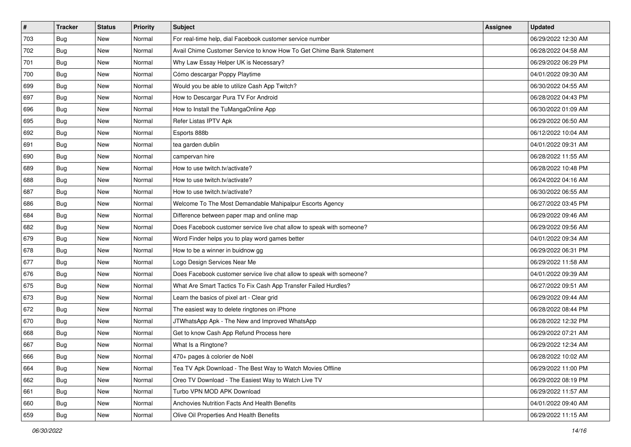| $\vert$ # | <b>Tracker</b> | <b>Status</b> | <b>Priority</b> | Subject                                                               | Assignee | <b>Updated</b>      |
|-----------|----------------|---------------|-----------------|-----------------------------------------------------------------------|----------|---------------------|
| 703       | <b>Bug</b>     | New           | Normal          | For real-time help, dial Facebook customer service number             |          | 06/29/2022 12:30 AM |
| 702       | Bug            | New           | Normal          | Avail Chime Customer Service to know How To Get Chime Bank Statement  |          | 06/28/2022 04:58 AM |
| 701       | Bug            | New           | Normal          | Why Law Essay Helper UK is Necessary?                                 |          | 06/29/2022 06:29 PM |
| 700       | Bug            | New           | Normal          | Cómo descargar Poppy Playtime                                         |          | 04/01/2022 09:30 AM |
| 699       | Bug            | New           | Normal          | Would you be able to utilize Cash App Twitch?                         |          | 06/30/2022 04:55 AM |
| 697       | <b>Bug</b>     | New           | Normal          | How to Descargar Pura TV For Android                                  |          | 06/28/2022 04:43 PM |
| 696       | Bug            | New           | Normal          | How to Install the TuMangaOnline App                                  |          | 06/30/2022 01:09 AM |
| 695       | Bug            | New           | Normal          | Refer Listas IPTV Apk                                                 |          | 06/29/2022 06:50 AM |
| 692       | Bug            | New           | Normal          | Esports 888b                                                          |          | 06/12/2022 10:04 AM |
| 691       | Bug            | New           | Normal          | tea garden dublin                                                     |          | 04/01/2022 09:31 AM |
| 690       | <b>Bug</b>     | New           | Normal          | campervan hire                                                        |          | 06/28/2022 11:55 AM |
| 689       | Bug            | New           | Normal          | How to use twitch.tv/activate?                                        |          | 06/28/2022 10:48 PM |
| 688       | <b>Bug</b>     | New           | Normal          | How to use twitch.tv/activate?                                        |          | 06/24/2022 04:16 AM |
| 687       | Bug            | New           | Normal          | How to use twitch.tv/activate?                                        |          | 06/30/2022 06:55 AM |
| 686       | Bug            | New           | Normal          | Welcome To The Most Demandable Mahipalpur Escorts Agency              |          | 06/27/2022 03:45 PM |
| 684       | Bug            | New           | Normal          | Difference between paper map and online map                           |          | 06/29/2022 09:46 AM |
| 682       | <b>Bug</b>     | New           | Normal          | Does Facebook customer service live chat allow to speak with someone? |          | 06/29/2022 09:56 AM |
| 679       | Bug            | New           | Normal          | Word Finder helps you to play word games better                       |          | 04/01/2022 09:34 AM |
| 678       | Bug            | New           | Normal          | How to be a winner in buidnow gg                                      |          | 06/29/2022 06:31 PM |
| 677       | <b>Bug</b>     | New           | Normal          | Logo Design Services Near Me                                          |          | 06/29/2022 11:58 AM |
| 676       | <b>Bug</b>     | New           | Normal          | Does Facebook customer service live chat allow to speak with someone? |          | 04/01/2022 09:39 AM |
| 675       | <b>Bug</b>     | New           | Normal          | What Are Smart Tactics To Fix Cash App Transfer Failed Hurdles?       |          | 06/27/2022 09:51 AM |
| 673       | Bug            | New           | Normal          | Learn the basics of pixel art - Clear grid                            |          | 06/29/2022 09:44 AM |
| 672       | <b>Bug</b>     | New           | Normal          | The easiest way to delete ringtones on iPhone                         |          | 06/28/2022 08:44 PM |
| 670       | Bug            | New           | Normal          | JTWhatsApp Apk - The New and Improved WhatsApp                        |          | 06/28/2022 12:32 PM |
| 668       | Bug            | New           | Normal          | Get to know Cash App Refund Process here                              |          | 06/29/2022 07:21 AM |
| 667       | <b>Bug</b>     | New           | Normal          | What Is a Ringtone?                                                   |          | 06/29/2022 12:34 AM |
| 666       | i Bug          | New           | Normal          | 470+ pages à colorier de Noël                                         |          | 06/28/2022 10:02 AM |
| 664       | Bug            | New           | Normal          | Tea TV Apk Download - The Best Way to Watch Movies Offline            |          | 06/29/2022 11:00 PM |
| 662       | Bug            | New           | Normal          | Oreo TV Download - The Easiest Way to Watch Live TV                   |          | 06/29/2022 08:19 PM |
| 661       | <b>Bug</b>     | New           | Normal          | Turbo VPN MOD APK Download                                            |          | 06/29/2022 11:57 AM |
| 660       | <b>Bug</b>     | New           | Normal          | Anchovies Nutrition Facts And Health Benefits                         |          | 04/01/2022 09:40 AM |
| 659       | <b>Bug</b>     | New           | Normal          | Olive Oil Properties And Health Benefits                              |          | 06/29/2022 11:15 AM |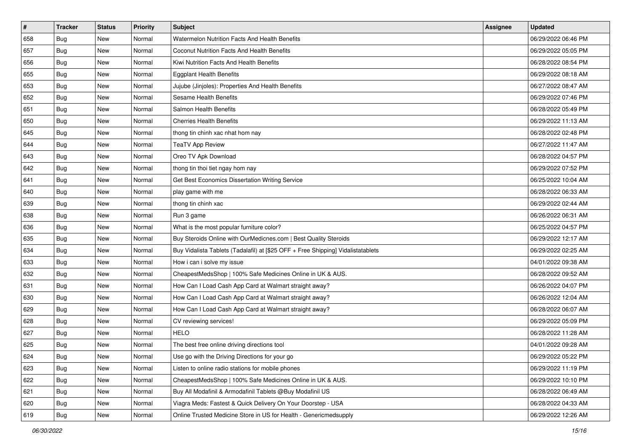| #   | Tracker    | <b>Status</b> | <b>Priority</b> | Subject                                                                          | <b>Assignee</b> | <b>Updated</b>      |
|-----|------------|---------------|-----------------|----------------------------------------------------------------------------------|-----------------|---------------------|
| 658 | Bug        | New           | Normal          | Watermelon Nutrition Facts And Health Benefits                                   |                 | 06/29/2022 06:46 PM |
| 657 | Bug        | New           | Normal          | Coconut Nutrition Facts And Health Benefits                                      |                 | 06/29/2022 05:05 PM |
| 656 | <b>Bug</b> | New           | Normal          | Kiwi Nutrition Facts And Health Benefits                                         |                 | 06/28/2022 08:54 PM |
| 655 | Bug        | New           | Normal          | <b>Eggplant Health Benefits</b>                                                  |                 | 06/29/2022 08:18 AM |
| 653 | <b>Bug</b> | New           | Normal          | Jujube (Jinjoles): Properties And Health Benefits                                |                 | 06/27/2022 08:47 AM |
| 652 | <b>Bug</b> | New           | Normal          | Sesame Health Benefits                                                           |                 | 06/29/2022 07:46 PM |
| 651 | Bug        | New           | Normal          | Salmon Health Benefits                                                           |                 | 06/28/2022 05:49 PM |
| 650 | <b>Bug</b> | New           | Normal          | <b>Cherries Health Benefits</b>                                                  |                 | 06/29/2022 11:13 AM |
| 645 | Bug        | New           | Normal          | thong tin chinh xac nhat hom nay                                                 |                 | 06/28/2022 02:48 PM |
| 644 | Bug        | New           | Normal          | <b>TeaTV App Review</b>                                                          |                 | 06/27/2022 11:47 AM |
| 643 | <b>Bug</b> | New           | Normal          | Oreo TV Apk Download                                                             |                 | 06/28/2022 04:57 PM |
| 642 | <b>Bug</b> | New           | Normal          | thong tin thoi tiet ngay hom nay                                                 |                 | 06/29/2022 07:52 PM |
| 641 | <b>Bug</b> | New           | Normal          | Get Best Economics Dissertation Writing Service                                  |                 | 06/25/2022 10:04 AM |
| 640 | <b>Bug</b> | New           | Normal          | play game with me                                                                |                 | 06/28/2022 06:33 AM |
| 639 | Bug        | New           | Normal          | thong tin chinh xac                                                              |                 | 06/29/2022 02:44 AM |
| 638 | <b>Bug</b> | New           | Normal          | Run 3 game                                                                       |                 | 06/26/2022 06:31 AM |
| 636 | <b>Bug</b> | New           | Normal          | What is the most popular furniture color?                                        |                 | 06/25/2022 04:57 PM |
| 635 | Bug        | New           | Normal          | Buy Steroids Online with OurMedicnes.com   Best Quality Steroids                 |                 | 06/29/2022 12:17 AM |
| 634 | Bug        | New           | Normal          | Buy Vidalista Tablets (Tadalafil) at [\$25 OFF + Free Shipping] Vidalistatablets |                 | 06/29/2022 02:25 AM |
| 633 | <b>Bug</b> | New           | Normal          | How i can i solve my issue                                                       |                 | 04/01/2022 09:38 AM |
| 632 | <b>Bug</b> | New           | Normal          | CheapestMedsShop   100% Safe Medicines Online in UK & AUS.                       |                 | 06/28/2022 09:52 AM |
| 631 | Bug        | New           | Normal          | How Can I Load Cash App Card at Walmart straight away?                           |                 | 06/26/2022 04:07 PM |
| 630 | Bug        | New           | Normal          | How Can I Load Cash App Card at Walmart straight away?                           |                 | 06/26/2022 12:04 AM |
| 629 | <b>Bug</b> | New           | Normal          | How Can I Load Cash App Card at Walmart straight away?                           |                 | 06/28/2022 06:07 AM |
| 628 | <b>Bug</b> | New           | Normal          | CV reviewing services!                                                           |                 | 06/29/2022 05:09 PM |
| 627 | <b>Bug</b> | New           | Normal          | <b>HELO</b>                                                                      |                 | 06/28/2022 11:28 AM |
| 625 | <b>Bug</b> | New           | Normal          | The best free online driving directions tool                                     |                 | 04/01/2022 09:28 AM |
| 624 | I Bug      | New           | Normal          | Use go with the Driving Directions for your go                                   |                 | 06/29/2022 05:22 PM |
| 623 | Bug        | New           | Normal          | Listen to online radio stations for mobile phones                                |                 | 06/29/2022 11:19 PM |
| 622 | Bug        | New           | Normal          | CheapestMedsShop   100% Safe Medicines Online in UK & AUS.                       |                 | 06/29/2022 10:10 PM |
| 621 | <b>Bug</b> | New           | Normal          | Buy All Modafinil & Armodafinil Tablets @Buy Modafinil US                        |                 | 06/28/2022 06:49 AM |
| 620 | <b>Bug</b> | New           | Normal          | Viagra Meds: Fastest & Quick Delivery On Your Doorstep - USA                     |                 | 06/28/2022 04:33 AM |
| 619 | <b>Bug</b> | New           | Normal          | Online Trusted Medicine Store in US for Health - Genericmedsupply                |                 | 06/29/2022 12:26 AM |